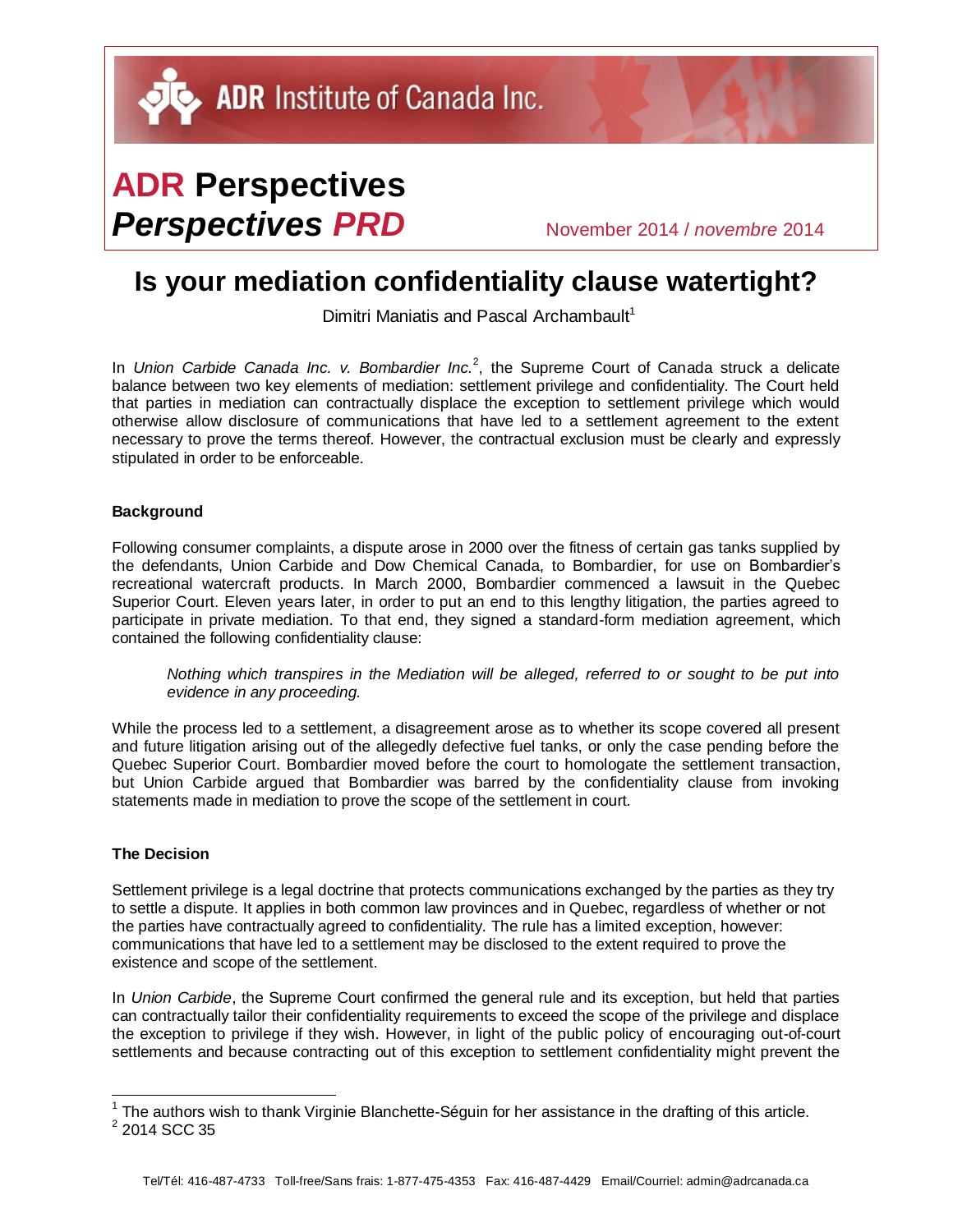# **ADR Perspectives** *Perspectives PRD* November 2014 / *novembre* <sup>2014</sup>

## **Is your mediation confidentiality clause watertight?**

Dimitri Maniatis and Pascal Archambault<sup>1</sup>

In Union Carbide Canada Inc. v. Bombardier Inc.<sup>2</sup>, the Supreme Court of Canada struck a delicate balance between two key elements of mediation: settlement privilege and confidentiality. The Court held that parties in mediation can contractually displace the exception to settlement privilege which would otherwise allow disclosure of communications that have led to a settlement agreement to the extent necessary to prove the terms thereof. However, the contractual exclusion must be clearly and expressly stipulated in order to be enforceable.

#### **Background**

Following consumer complaints, a dispute arose in 2000 over the fitness of certain gas tanks supplied by the defendants, Union Carbide and Dow Chemical Canada, to Bombardier, for use on Bombardier's recreational watercraft products. In March 2000, Bombardier commenced a lawsuit in the Quebec Superior Court. Eleven years later, in order to put an end to this lengthy litigation, the parties agreed to participate in private mediation. To that end, they signed a standard-form mediation agreement, which contained the following confidentiality clause:

*Nothing which transpires in the Mediation will be alleged, referred to or sought to be put into evidence in any proceeding.*

While the process led to a settlement, a disagreement arose as to whether its scope covered all present and future litigation arising out of the allegedly defective fuel tanks, or only the case pending before the Quebec Superior Court. Bombardier moved before the court to homologate the settlement transaction, but Union Carbide argued that Bombardier was barred by the confidentiality clause from invoking statements made in mediation to prove the scope of the settlement in court.

#### **The Decision**

Settlement privilege is a legal doctrine that protects communications exchanged by the parties as they try to settle a dispute. It applies in both common law provinces and in Quebec, regardless of whether or not the parties have contractually agreed to confidentiality. The rule has a limited exception, however: communications that have led to a settlement may be disclosed to the extent required to prove the existence and scope of the settlement.

In *Union Carbide*, the Supreme Court confirmed the general rule and its exception, but held that parties can contractually tailor their confidentiality requirements to exceed the scope of the privilege and displace the exception to privilege if they wish. However, in light of the public policy of encouraging out-of-court settlements and because contracting out of this exception to settlement confidentiality might prevent the

l

 $1$  The authors wish to thank Virginie Blanchette-Séguin for her assistance in the drafting of this article.

 $^2$  2014 SCC 35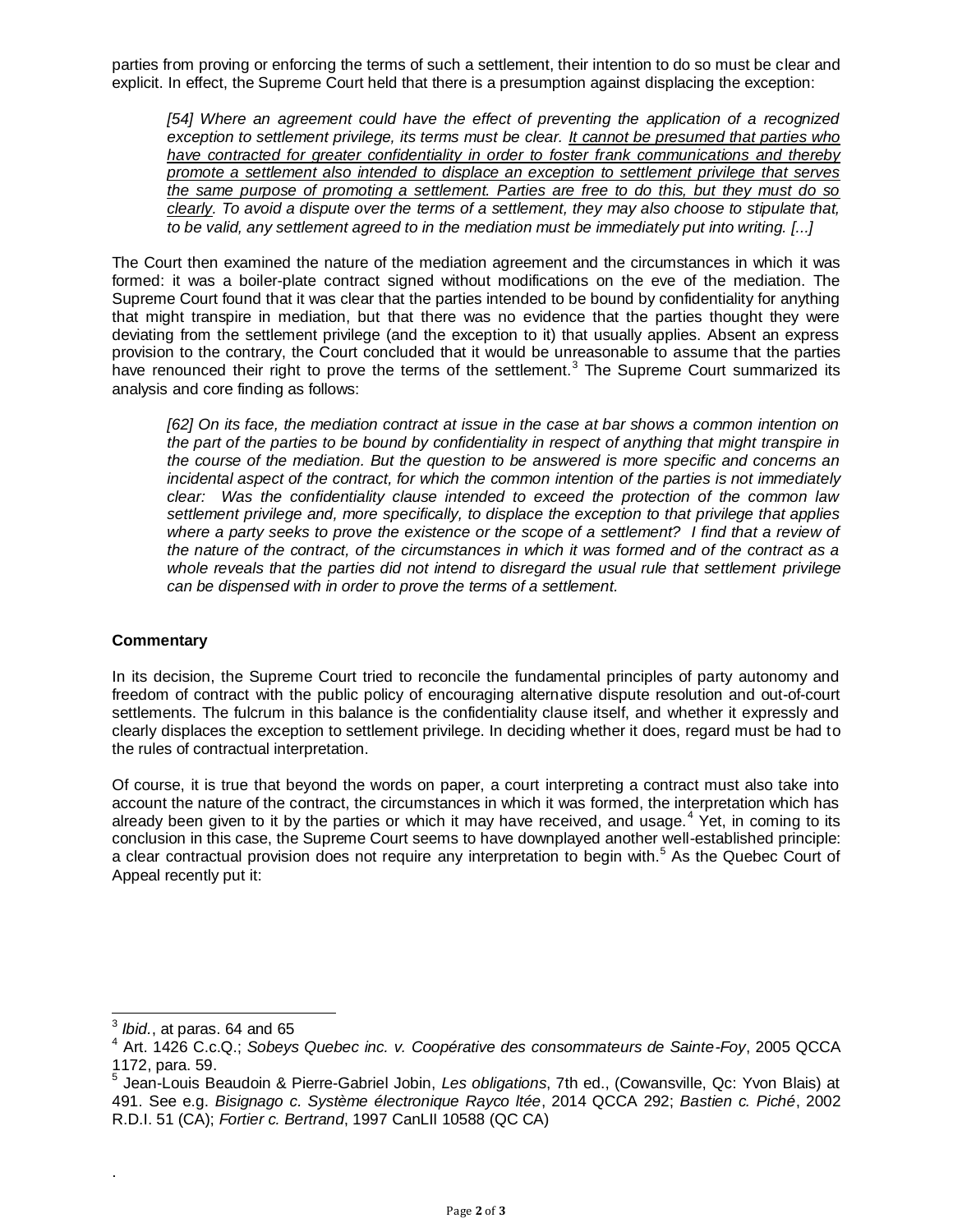parties from proving or enforcing the terms of such a settlement, their intention to do so must be clear and explicit. In effect, the Supreme Court held that there is a presumption against displacing the exception:

*[54] Where an agreement could have the effect of preventing the application of a recognized exception to settlement privilege, its terms must be clear. It cannot be presumed that parties who have contracted for greater confidentiality in order to foster frank communications and thereby promote a settlement also intended to displace an exception to settlement privilege that serves the same purpose of promoting a settlement. Parties are free to do this, but they must do so clearly. To avoid a dispute over the terms of a settlement, they may also choose to stipulate that, to be valid, any settlement agreed to in the mediation must be immediately put into writing. [...]* 

The Court then examined the nature of the mediation agreement and the circumstances in which it was formed: it was a boiler-plate contract signed without modifications on the eve of the mediation. The Supreme Court found that it was clear that the parties intended to be bound by confidentiality for anything that might transpire in mediation, but that there was no evidence that the parties thought they were deviating from the settlement privilege (and the exception to it) that usually applies. Absent an express provision to the contrary, the Court concluded that it would be unreasonable to assume that the parties have renounced their right to prove the terms of the settlement.<sup>3</sup> The Supreme Court summarized its analysis and core finding as follows:

*[62] On its face, the mediation contract at issue in the case at bar shows a common intention on the part of the parties to be bound by confidentiality in respect of anything that might transpire in the course of the mediation. But the question to be answered is more specific and concerns an incidental aspect of the contract, for which the common intention of the parties is not immediately clear: Was the confidentiality clause intended to exceed the protection of the common law settlement privilege and, more specifically, to displace the exception to that privilege that applies where a party seeks to prove the existence or the scope of a settlement? I find that a review of the nature of the contract, of the circumstances in which it was formed and of the contract as a whole reveals that the parties did not intend to disregard the usual rule that settlement privilege can be dispensed with in order to prove the terms of a settlement.*

### **Commentary**

In its decision, the Supreme Court tried to reconcile the fundamental principles of party autonomy and freedom of contract with the public policy of encouraging alternative dispute resolution and out-of-court settlements. The fulcrum in this balance is the confidentiality clause itself, and whether it expressly and clearly displaces the exception to settlement privilege. In deciding whether it does, regard must be had to the rules of contractual interpretation.

Of course, it is true that beyond the words on paper, a court interpreting a contract must also take into account the nature of the contract, the circumstances in which it was formed, the interpretation which has already been given to it by the parties or which it may have received, and usage. $4$  Yet, in coming to its conclusion in this case, the Supreme Court seems to have downplayed another well-established principle: a clear contractual provision does not require any interpretation to begin with.<sup>5</sup> As the Quebec Court of Appeal recently put it:

.

 3 *Ibid.*, at paras. 64 and 65

<sup>4</sup> Art. 1426 C.c.Q.; *Sobeys Quebec inc. v. Coopérative des consommateurs de Sainte-Foy*, 2005 QCCA 1172, para. 59.<br><sup>5</sup>. Ioan Lauja B.

Jean-Louis Beaudoin & Pierre-Gabriel Jobin, *Les obligations*, 7th ed., (Cowansville, Qc: Yvon Blais) at 491. See e.g. *Bisignago c. Système électronique Rayco ltée*, 2014 QCCA 292; *Bastien c. Piché*, 2002 R.D.I. 51 (CA); *Fortier c. Bertrand*, 1997 CanLII 10588 (QC CA)